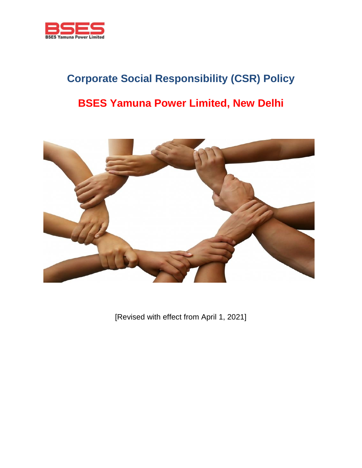

# **Corporate Social Responsibility (CSR) Policy BSES Yamuna Power Limited, New Delhi**



[Revised with effect from April 1, 2021]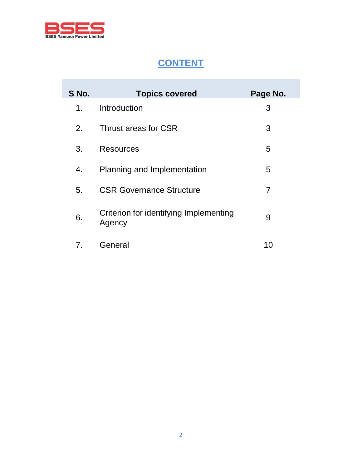

# **CONTENT**

| S No. | <b>Topics covered</b>                            | Page No. |
|-------|--------------------------------------------------|----------|
| 1.    | Introduction                                     | 3        |
| 2.    | Thrust areas for CSR                             | 3        |
| 3.    | <b>Resources</b>                                 | 5        |
| 4.    | Planning and Implementation                      | 5        |
| 5.    | <b>CSR Governance Structure</b>                  | 7        |
| 6.    | Criterion for identifying Implementing<br>Agency | 9        |
| 7.    | General                                          | 10       |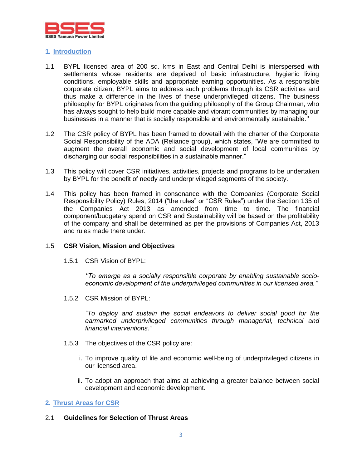

#### **1. Introduction**

- 1.1 BYPL licensed area of 200 sq. kms in East and Central Delhi is interspersed with settlements whose residents are deprived of basic infrastructure, hygienic living conditions, employable skills and appropriate earning opportunities. As a responsible corporate citizen, BYPL aims to address such problems through its CSR activities and thus make a difference in the lives of these underprivileged citizens. The business philosophy for BYPL originates from the guiding philosophy of the Group Chairman, who has always sought to help build more capable and vibrant communities by managing our businesses in a manner that is socially responsible and environmentally sustainable.''
- 1.2 The CSR policy of BYPL has been framed to dovetail with the charter of the Corporate Social Responsibility of the ADA (Reliance group), which states, "We are committed to augment the overall economic and social development of local communities by discharging our social responsibilities in a sustainable manner."
- 1.3 This policy will cover CSR initiatives, activities, projects and programs to be undertaken by BYPL for the benefit of needy and underprivileged segments of the society.
- 1.4 This policy has been framed in consonance with the Companies (Corporate Social Responsibility Policy) Rules, 2014 ("the rules" or "CSR Rules") under the Section 135 of the Companies Act 2013 as amended from time to time. The financial component/budgetary spend on CSR and Sustainability will be based on the profitability of the company and shall be determined as per the provisions of Companies Act, 2013 and rules made there under.

#### 1.5 **CSR Vision, Mission and Objectives**

1.5.1 CSR Vision of BYPL:

*''To emerge as a socially responsible corporate by enabling sustainable socioeconomic development of the underprivileged communities in our licensed area.''*

1.5.2 CSR Mission of BYPL:

*"To deploy and sustain the social endeavors to deliver social good for the earmarked underprivileged communities through managerial, technical and financial interventions."*

- 1.5.3 The objectives of the CSR policy are:
	- i. To improve quality of life and economic well-being of underprivileged citizens in our licensed area.
	- ii. To adopt an approach that aims at achieving a greater balance between social development and economic development.

#### **2. Thrust Areas for CSR**

#### 2.1 **Guidelines for Selection of Thrust Areas**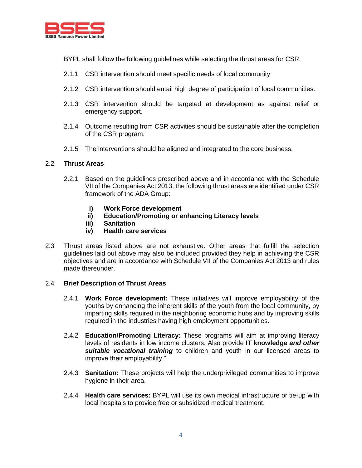

BYPL shall follow the following guidelines while selecting the thrust areas for CSR:

- 2.1.1 CSR intervention should meet specific needs of local community
- 2.1.2 CSR intervention should entail high degree of participation of local communities.
- 2.1.3 CSR intervention should be targeted at development as against relief or emergency support.
- 2.1.4 Outcome resulting from CSR activities should be sustainable after the completion of the CSR program.
- 2.1.5 The interventions should be aligned and integrated to the core business.

#### 2.2 **Thrust Areas**

- 2.2.1 Based on the guidelines prescribed above and in accordance with the Schedule VII of the Companies Act 2013, the following thrust areas are identified under CSR framework of the ADA Group:
	- **i) Work Force development**
	- **ii) Education/Promoting or enhancing Literacy levels**
	- **iii) Sanitation**
	- **iv) Health care services**
- 2.3 Thrust areas listed above are not exhaustive. Other areas that fulfill the selection guidelines laid out above may also be included provided they help in achieving the CSR objectives and are in accordance with Schedule VII of the Companies Act 2013 and rules made thereunder.

#### 2.4 **Brief Description of Thrust Areas**

- 2.4.1 **Work Force development:** These initiatives will improve employability of the youths by enhancing the inherent skills of the youth from the local community, by imparting skills required in the neighboring economic hubs and by improving skills required in the industries having high employment opportunities.
- 2.4.2 **Education/Promoting Literacy:** These programs will aim at improving literacy levels of residents in low income clusters. Also provide **IT knowledge** *and other suitable vocational training* to children and youth in our licensed areas to improve their employability."
- 2.4.3 **Sanitation:** These projects will help the underprivileged communities to improve hygiene in their area.
- 2.4.4 **Health care services:** BYPL will use its own medical infrastructure or tie-up with local hospitals to provide free or subsidized medical treatment.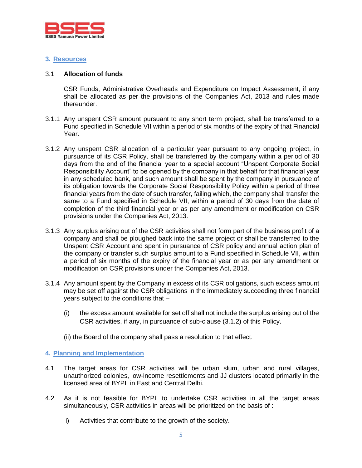

#### **3. Resources**

#### 3.1 **Allocation of funds**

CSR Funds, Administrative Overheads and Expenditure on Impact Assessment, if any shall be allocated as per the provisions of the Companies Act, 2013 and rules made thereunder.

- 3.1.1 Any unspent CSR amount pursuant to any short term project, shall be transferred to a Fund specified in Schedule VII within a period of six months of the expiry of that Financial Year.
- 3.1.2 Any unspent CSR allocation of a particular year pursuant to any ongoing project, in pursuance of its CSR Policy, shall be transferred by the company within a period of 30 days from the end of the financial year to a special account "Unspent Corporate Social Responsibility Account" to be opened by the company in that behalf for that financial year in any scheduled bank, and such amount shall be spent by the company in pursuance of its obligation towards the Corporate Social Responsibility Policy within a period of three financial years from the date of such transfer, failing which, the company shall transfer the same to a Fund specified in Schedule VII, within a period of 30 days from the date of completion of the third financial year or as per any amendment or modification on CSR provisions under the Companies Act, 2013.
- 3.1.3 Any surplus arising out of the CSR activities shall not form part of the business profit of a company and shall be ploughed back into the same project or shall be transferred to the Unspent CSR Account and spent in pursuance of CSR policy and annual action plan of the company or transfer such surplus amount to a Fund specified in Schedule VII, within a period of six months of the expiry of the financial year or as per any amendment or modification on CSR provisions under the Companies Act, 2013.
- 3.1.4 Any amount spent by the Company in excess of its CSR obligations, such excess amount may be set off against the CSR obligations in the immediately succeeding three financial years subject to the conditions that –
	- (i) the excess amount available for set off shall not include the surplus arising out of the CSR activities, if any, in pursuance of sub-clause (3.1.2) of this Policy.
	- (ii) the Board of the company shall pass a resolution to that effect.

# **4. Planning and Implementation**

- 4.1 The target areas for CSR activities will be urban slum, urban and rural villages, unauthorized colonies, low-income resettlements and JJ clusters located primarily in the licensed area of BYPL in East and Central Delhi.
- 4.2 As it is not feasible for BYPL to undertake CSR activities in all the target areas simultaneously, CSR activities in areas will be prioritized on the basis of :
	- i) Activities that contribute to the growth of the society.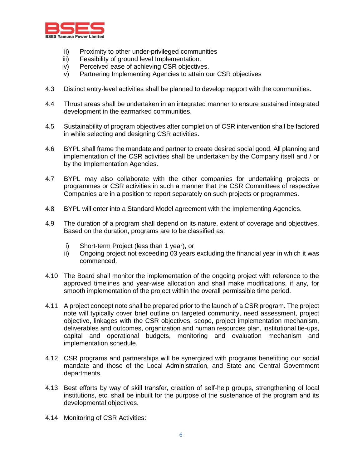

- ii) Proximity to other under-privileged communities
- iii) Feasibility of ground level Implementation.
- iv) Perceived ease of achieving CSR objectives.
- v) Partnering Implementing Agencies to attain our CSR objectives
- 4.3 Distinct entry-level activities shall be planned to develop rapport with the communities.
- 4.4 Thrust areas shall be undertaken in an integrated manner to ensure sustained integrated development in the earmarked communities.
- 4.5 Sustainability of program objectives after completion of CSR intervention shall be factored in while selecting and designing CSR activities.
- 4.6 BYPL shall frame the mandate and partner to create desired social good. All planning and implementation of the CSR activities shall be undertaken by the Company itself and / or by the Implementation Agencies.
- 4.7 BYPL may also collaborate with the other companies for undertaking projects or programmes or CSR activities in such a manner that the CSR Committees of respective Companies are in a position to report separately on such projects or programmes.
- 4.8 BYPL will enter into a Standard Model agreement with the Implementing Agencies.
- 4.9 The duration of a program shall depend on its nature, extent of coverage and objectives. Based on the duration, programs are to be classified as:
	- i) Short-term Project (less than 1 year), or
	- ii) Ongoing project not exceeding 03 years excluding the financial year in which it was commenced.
- 4.10 The Board shall monitor the implementation of the ongoing project with reference to the approved timelines and year-wise allocation and shall make modifications, if any, for smooth implementation of the project within the overall permissible time period.
- 4.11 A project concept note shall be prepared prior to the launch of a CSR program. The project note will typically cover brief outline on targeted community, need assessment, project objective, linkages with the CSR objectives, scope, project implementation mechanism, deliverables and outcomes, organization and human resources plan, institutional tie-ups, capital and operational budgets, monitoring and evaluation mechanism and implementation schedule.
- 4.12 CSR programs and partnerships will be synergized with programs benefitting our social mandate and those of the Local Administration, and State and Central Government departments.
- 4.13 Best efforts by way of skill transfer, creation of self-help groups, strengthening of local institutions, etc. shall be inbuilt for the purpose of the sustenance of the program and its developmental objectives.
- 4.14 Monitoring of CSR Activities: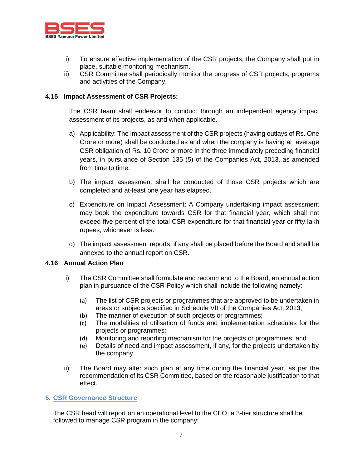

- i) To ensure effective implementation of the CSR projects, the Company shall put in place, suitable monitoring mechanism.
- ii) CSR Committee shall periodically monitor the progress of CSR projects, programs and activities of the Company.

#### **4.15 Impact Assessment of CSR Projects:**

The CSR team shall endeavor to conduct through an independent agency impact assessment of its projects, as and when applicable.

- a) Applicability: The Impact assessment of the CSR projects (having outlays of Rs. One Crore or more) shall be conducted as and when the company is having an average CSR obligation of Rs. 10 Crore or more in the three immediately preceding financial years, in pursuance of Section 135 (5) of the Companies Act, 2013, as amended from time to time.
- b) The impact assessment shall be conducted of those CSR projects which are completed and at-least one year has elapsed.
- c) Expenditure on Impact Assessment: A Company undertaking impact assessment may book the expenditure towards CSR for that financial year, which shall not exceed five percent of the total CSR expenditure for that financial year or fifty lakh rupees, whichever is less.
- d) The impact assessment reports, if any shall be placed before the Board and shall be annexed to the annual report on CSR.

#### **4.16 Annual Action Plan**

- i) The CSR Committee shall formulate and recommend to the Board, an annual action plan in pursuance of the CSR Policy which shall include the following namely:
	- (a) The list of CSR projects or programmes that are approved to be undertaken in areas or subjects specified in Schedule VII of the Companies Act, 2013;
	- (b) The manner of execution of such projects or programmes;
	- (c) The modalities of utilisation of funds and implementation schedules for the projects or programmes;
	- (d) Monitoring and reporting mechanism for the projects or programmes; and
	- (e) Details of need and impact assessment, if any, for the projects undertaken by the company.
- ii) The Board may alter such plan at any time during the financial year, as per the recommendation of its CSR Committee, based on the reasonable justification to that effect.

#### **5. CSR Governance Structure**

The CSR head will report on an operational level to the CEO, a 3-tier structure shall be followed to manage CSR program in the company: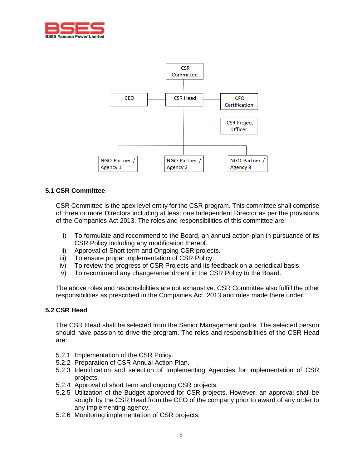



#### **5.1 CSR Committee**

CSR Committee is the apex level entity for the CSR program. This committee shall comprise of three or more Directors including at least one Independent Director as per the provisions of the Companies Act 2013. The roles and responsibilities of this committee are:

- i) To formulate and recommend to the Board, an annual action plan in pursuance of its CSR Policy including any modification thereof.
- ii) Approval of Short term and Ongoing CSR projects.
- iii) To ensure proper implementation of CSR Policy.
- iv) To review the progress of CSR Projects and its feedback on a periodical basis.
- v) To recommend any change/amendment in the CSR Policy to the Board.

The above roles and responsibilities are not exhaustive. CSR Committee also fulfill the other responsibilities as prescribed in the Companies Act, 2013 and rules made there under.

#### **5.2 CSR Head**

The CSR Head shall be selected from the Senior Management cadre. The selected person should have passion to drive the program. The roles and responsibilities of the CSR Head are:

- 5.2.1 Implementation of the CSR Policy.
- 5.2.2 Preparation of CSR Annual Action Plan.
- 5.2.3 Identification and selection of Implementing Agencies for implementation of CSR projects.
- 5.2.4 Approval of short term and ongoing CSR projects.
- 5.2.5 Utilization of the Budget approved for CSR projects. However, an approval shall be sought by the CSR Head from the CEO of the company prior to award of any order to any implementing agency.
- 5.2.6 Monitoring implementation of CSR projects.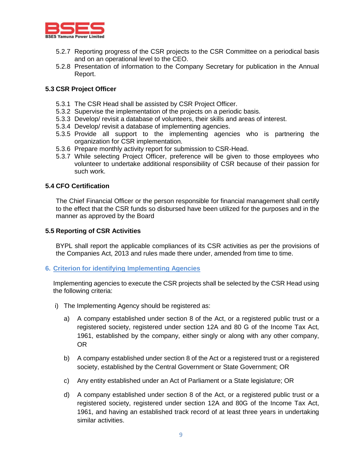

- 5.2.7 Reporting progress of the CSR projects to the CSR Committee on a periodical basis and on an operational level to the CEO.
- 5.2.8 Presentation of information to the Company Secretary for publication in the Annual Report.

# **5.3 CSR Project Officer**

- 5.3.1 The CSR Head shall be assisted by CSR Project Officer.
- 5.3.2 Supervise the implementation of the projects on a periodic basis.
- 5.3.3 Develop/ revisit a database of volunteers, their skills and areas of interest.
- 5.3.4 Develop/ revisit a database of implementing agencies.
- 5.3.5 Provide all support to the implementing agencies who is partnering the organization for CSR implementation.
- 5.3.6 Prepare monthly activity report for submission to CSR-Head.
- 5.3.7 While selecting Project Officer, preference will be given to those employees who volunteer to undertake additional responsibility of CSR because of their passion for such work.

#### **5.4 CFO Certification**

The Chief Financial Officer or the person responsible for financial management shall certify to the effect that the CSR funds so disbursed have been utilized for the purposes and in the manner as approved by the Board

#### **5.5 Reporting of CSR Activities**

BYPL shall report the applicable compliances of its CSR activities as per the provisions of the Companies Act, 2013 and rules made there under, amended from time to time.

#### **6. Criterion for identifying Implementing Agencies**

Implementing agencies to execute the CSR projects shall be selected by the CSR Head using the following criteria:

- i) The Implementing Agency should be registered as:
	- a) A company established under section 8 of the Act, or a registered public trust or a registered society, registered under section 12A and 80 G of the Income Tax Act, 1961, established by the company, either singly or along with any other company, OR
	- b) A company established under section 8 of the Act or a registered trust or a registered society, established by the Central Government or State Government; OR
	- c) Any entity established under an Act of Parliament or a State legislature; OR
	- d) A company established under section 8 of the Act, or a registered public trust or a registered society, registered under section 12A and 80G of the Income Tax Act, 1961, and having an established track record of at least three years in undertaking similar activities.